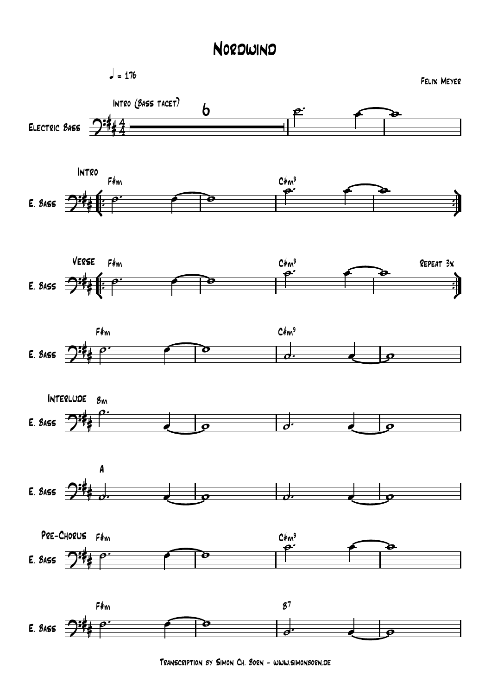## Nordwind



Transcription by Simon Ch. Born - www.simonborn.de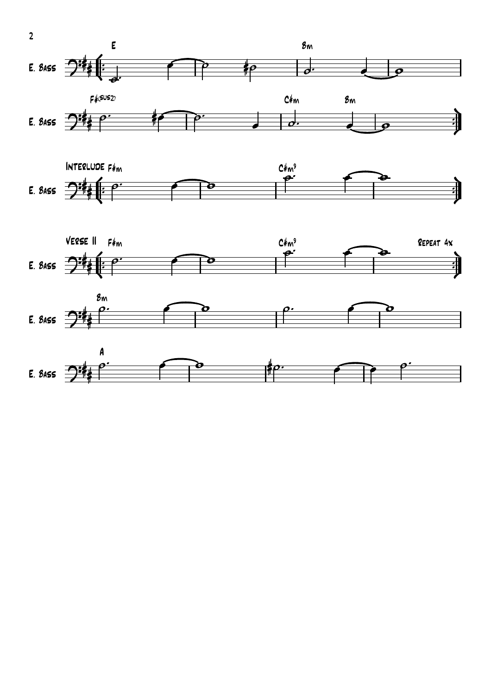

 $\overline{2}$